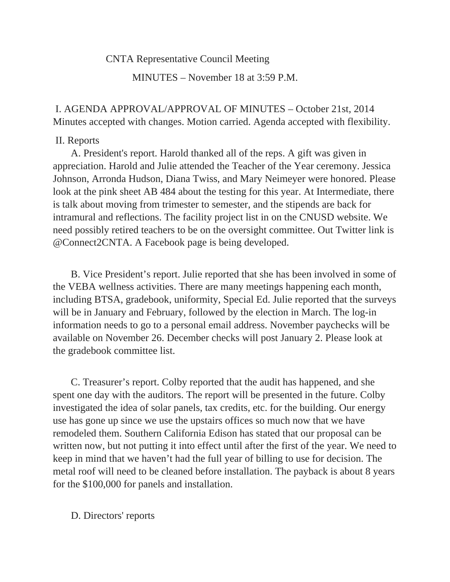## CNTA Representative Council Meeting

MINUTES – November 18 at 3:59 P.M.

 I. AGENDA APPROVAL/APPROVAL OF MINUTES – October 21st, 2014 Minutes accepted with changes. Motion carried. Agenda accepted with flexibility.

### II. Reports

 A. President's report. Harold thanked all of the reps. A gift was given in appreciation. Harold and Julie attended the Teacher of the Year ceremony. Jessica Johnson, Arronda Hudson, Diana Twiss, and Mary Neimeyer were honored. Please look at the pink sheet AB 484 about the testing for this year. At Intermediate, there is talk about moving from trimester to semester, and the stipends are back for intramural and reflections. The facility project list in on the CNUSD website. We need possibly retired teachers to be on the oversight committee. Out Twitter link is @Connect2CNTA. A Facebook page is being developed.

 B. Vice President's report. Julie reported that she has been involved in some of the VEBA wellness activities. There are many meetings happening each month, including BTSA, gradebook, uniformity, Special Ed. Julie reported that the surveys will be in January and February, followed by the election in March. The log-in information needs to go to a personal email address. November paychecks will be available on November 26. December checks will post January 2. Please look at the gradebook committee list.

 C. Treasurer's report. Colby reported that the audit has happened, and she spent one day with the auditors. The report will be presented in the future. Colby investigated the idea of solar panels, tax credits, etc. for the building. Our energy use has gone up since we use the upstairs offices so much now that we have remodeled them. Southern California Edison has stated that our proposal can be written now, but not putting it into effect until after the first of the year. We need to keep in mind that we haven't had the full year of billing to use for decision. The metal roof will need to be cleaned before installation. The payback is about 8 years for the \$100,000 for panels and installation.

#### D. Directors' reports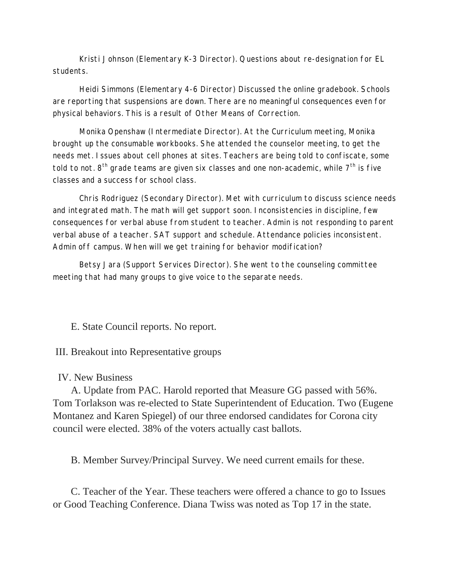Kristi Johnson (Elementary K-3 Director). Questions about re-designation for EL students.

Heidi Simmons (Elementary 4-6 Director) Discussed the online gradebook. Schools are reporting that suspensions are down. There are no meaningful consequences even for physical behaviors. This is a result of Other Means of Correction.

Monika Openshaw (Intermediate Director). At the Curriculum meeting, Monika brought up the consumable workbooks. She attended the counselor meeting, to get the needs met. Issues about cell phones at sites. Teachers are being told to confiscate, some told to not.  $8<sup>th</sup>$  grade teams are given six classes and one non-academic, while  $7<sup>th</sup>$  is five classes and a success for school class.

Chris Rodriguez (Secondary Director). Met with curriculum to discuss science needs and integrated math. The math will get support soon. Inconsistencies in discipline, few consequences for verbal abuse from student to teacher. Admin is not responding to parent verbal abuse of a teacher. SAT support and schedule. Attendance policies inconsistent. Admin off campus. When will we get training for behavior modification?

Betsy Jara (Support Services Director). She went to the counseling committee meeting that had many groups to give voice to the separate needs.

E. State Council reports. No report.

III. Breakout into Representative groups

# IV. New Business

 A. Update from PAC. Harold reported that Measure GG passed with 56%. Tom Torlakson was re-elected to State Superintendent of Education. Two (Eugene Montanez and Karen Spiegel) of our three endorsed candidates for Corona city council were elected. 38% of the voters actually cast ballots.

B. Member Survey/Principal Survey. We need current emails for these.

 C. Teacher of the Year. These teachers were offered a chance to go to Issues or Good Teaching Conference. Diana Twiss was noted as Top 17 in the state.